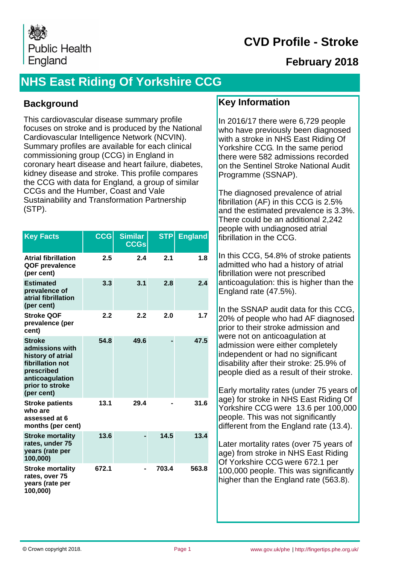

## **February 2018**

# **NHS East Riding Of Yorkshire CCG**

#### **Background**

This cardiovascular disease summary profile focuses on stroke and is produced by the National Cardiovascular Intelligence Network (NCVIN). Summary profiles are available for each clinical commissioning group (CCG) in England in coronary heart disease and heart failure, diabetes, kidney disease and stroke. This profile compares the CCG with data for England, a group of similar CCGs and the Humber, Coast and Vale Sustainability and Transformation Partnership (STP).

| <b>Key Facts</b>                                                                                                                            | CCG   | <b>Similar</b><br><b>CCGs</b> | <b>STP</b> | <b>England</b> |
|---------------------------------------------------------------------------------------------------------------------------------------------|-------|-------------------------------|------------|----------------|
| <b>Atrial fibrillation</b><br>QOF prevalence<br>(per cent)                                                                                  | 2.5   | 2.4                           | 2.1        | 1.8            |
| <b>Estimated</b><br>prevalence of<br>atrial fibrillation<br>(per cent)                                                                      | 3.3   | 3.1                           | 2.8        | 2.4            |
| <b>Stroke QOF</b><br>prevalence (per<br>cent)                                                                                               | 2.2   | 2.2                           | 2.0        | 1.7            |
| <b>Stroke</b><br>admissions with<br>history of atrial<br>fibrillation not<br>prescribed<br>anticoagulation<br>prior to stroke<br>(per cent) | 54.8  | 49.6                          |            | 47.5           |
| <b>Stroke patients</b><br>who are<br>assessed at 6<br>months (per cent)                                                                     | 13.1  | 29.4                          |            | 31.6           |
| <b>Stroke mortality</b><br>rates, under 75<br>years (rate per<br>100,000)                                                                   | 13.6  |                               | 14.5       | 13.4           |
| <b>Stroke mortality</b><br>rates, over 75<br>years (rate per<br>100,000)                                                                    | 672.1 |                               | 703.4      | 563.8          |

#### **Key Information**

In 2016/17 there were 6,729 people who have previously been diagnosed with a stroke in NHS East Riding Of Yorkshire CCG. In the same period there were 582 admissions recorded on the Sentinel Stroke National Audit Programme (SSNAP).

The diagnosed prevalence of atrial fibrillation (AF) in this CCG is 2.5% and the estimated prevalence is 3.3%. There could be an additional 2,242 people with undiagnosed atrial fibrillation in the CCG.

In this CCG, 54.8% of stroke patients admitted who had a history of atrial fibrillation were not prescribed anticoagulation: this is higher than the England rate (47.5%).

In the SSNAP audit data for this CCG, 20% of people who had AF diagnosed prior to their stroke admission and were not on anticoagulation at admission were either completely independent or had no significant disability after their stroke: 25.9% of people died as a result of their stroke.

Early mortality rates (under 75 years of age) for stroke in NHS East Riding Of Yorkshire CCG were 13.6 per 100,000 people. This was not significantly different from the England rate (13.4).

Later mortality rates (over 75 years of age) from stroke in NHS East Riding Of Yorkshire CCG were 672.1 per 100,000 people. This was significantly higher than the England rate (563.8).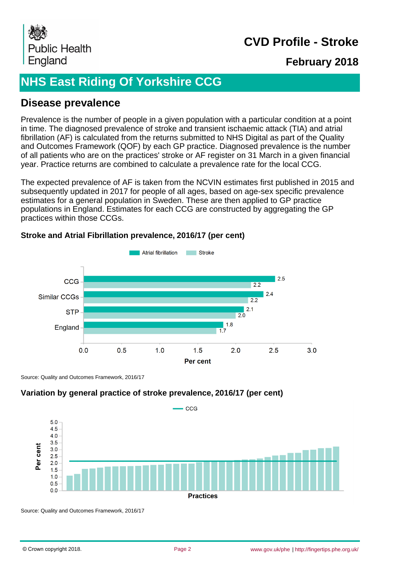

## **February 2018**

# **NHS East Riding Of Yorkshire CCG**

#### **Disease prevalence**

Prevalence is the number of people in a given population with a particular condition at a point in time. The diagnosed prevalence of stroke and transient ischaemic attack (TIA) and atrial fibrillation (AF) is calculated from the returns submitted to NHS Digital as part of the Quality and Outcomes Framework (QOF) by each GP practice. Diagnosed prevalence is the number of all patients who are on the practices' stroke or AF register on 31 March in a given financial year. Practice returns are combined to calculate a prevalence rate for the local CCG.

The expected prevalence of AF is taken from the NCVIN estimates first published in 2015 and subsequently updated in 2017 for people of all ages, based on age-sex specific prevalence estimates for a general population in Sweden. These are then applied to GP practice populations in England. Estimates for each CCG are constructed by aggregating the GP practices within those CCGs.

#### Atrial fibrillation **Stroke**  $2.5$ CCG  $\overline{22}$  $2.4$ Similar CCGs  $\overline{22}$  $2<sub>1</sub>$ **STP**  $20$  $1.8$ England  $0.0$  $0.5$  $2.0$  $2.5$  $3.0$  $1.0$  $1.5$ **Per cent**

#### **Stroke and Atrial Fibrillation prevalence, 2016/17 (per cent)**

Source: Quality and Outcomes Framework, 2016/17

#### **Variation by general practice of stroke prevalence, 2016/17 (per cent)**



Source: Quality and Outcomes Framework, 2016/17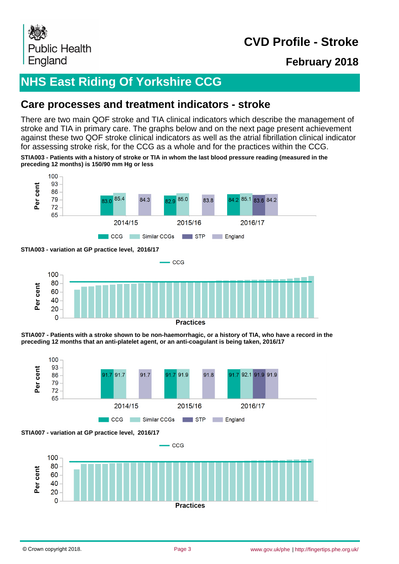

## **February 2018**

# **NHS East Riding Of Yorkshire CCG**

#### **Care processes and treatment indicators - stroke**

There are two main QOF stroke and TIA clinical indicators which describe the management of stroke and TIA in primary care. The graphs below and on the next page present achievement against these two QOF stroke clinical indicators as well as the atrial fibrillation clinical indicator for assessing stroke risk, for the CCG as a whole and for the practices within the CCG.

**STIA003 - Patients with a history of stroke or TIA in whom the last blood pressure reading (measured in the preceding 12 months) is 150/90 mm Hg or less**



**STIA003 - variation at GP practice level, 2016/17**



**Practices** 







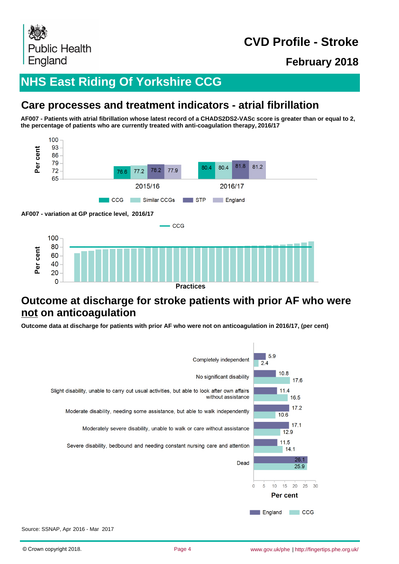

**February 2018**

# **NHS East Riding Of Yorkshire CCG**

## **Care processes and treatment indicators - atrial fibrillation**

**AF007 - Patients with atrial fibrillation whose latest record of a CHADS2DS2-VASc score is greater than or equal to 2, the percentage of patients who are currently treated with anti-coagulation therapy, 2016/17**



## **Outcome at discharge for stroke patients with prior AF who were not on anticoagulation**

**Outcome data at discharge for patients with prior AF who were not on anticoagulation in 2016/17, (per cent)**

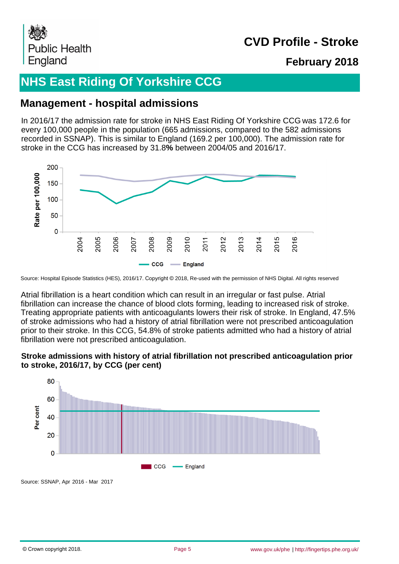

## **February 2018**

# **NHS East Riding Of Yorkshire CCG**

## **Management - hospital admissions**

In 2016/17 the admission rate for stroke in NHS East Riding Of Yorkshire CCG was 172.6 for every 100,000 people in the population (665 admissions, compared to the 582 admissions recorded in SSNAP). This is similar to England (169.2 per 100,000). The admission rate for stroke in the CCG has increased by 31.8**%** between 2004/05 and 2016/17.



Source: Hospital Episode Statistics (HES), 2016/17. Copyright © 2018, Re-used with the permission of NHS Digital. All rights reserved

Atrial fibrillation is a heart condition which can result in an irregular or fast pulse. Atrial fibrillation can increase the chance of blood clots forming, leading to increased risk of stroke. Treating appropriate patients with anticoagulants lowers their risk of stroke. In England, 47.5% of stroke admissions who had a history of atrial fibrillation were not prescribed anticoagulation prior to their stroke. In this CCG, 54.8% of stroke patients admitted who had a history of atrial fibrillation were not prescribed anticoagulation.

#### **Stroke admissions with history of atrial fibrillation not prescribed anticoagulation prior to stroke, 2016/17, by CCG (per cent)**



Source: SSNAP, Apr 2016 - Mar 2017